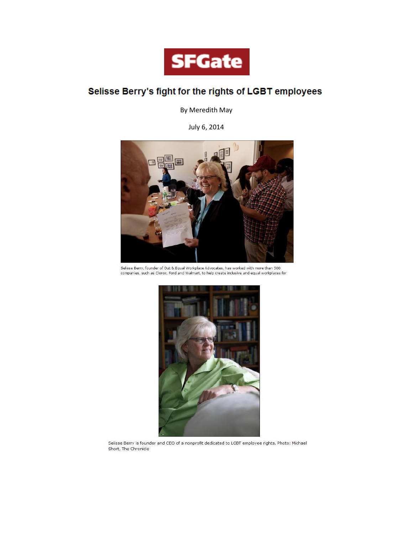

# Selisse Berry's fight for the rights of LGBT employees

By Meredith May

July 6, 2014



Selisse Berry, founder of Out & Equal Workplace Advocates, has worked with more than 500 companies, such as Clorox, Ford and Walmart, to help create inclusive and equal workplaces for



Selisse Berry is founder and CEO of a nonprofit dedicated to LGBT employee rights. Photo: Michael Short, The Chronicle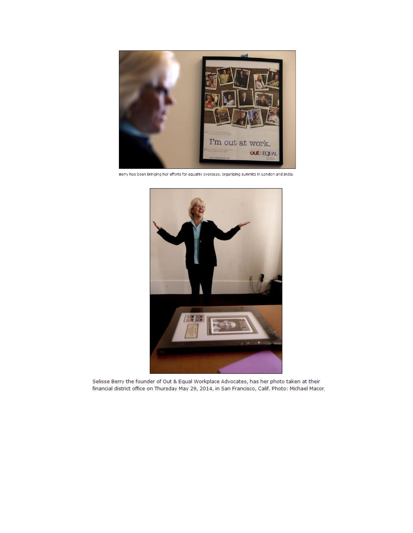

Berry has been bringing her efforts for equality overseas, organizing summits in London and India.



Selisse Berry the founder of Out & Equal Workplace Advocates, has her photo taken at their financial district office on Thursday May 29, 2014, in San Francisco, Calif. Photo: Michael Macor,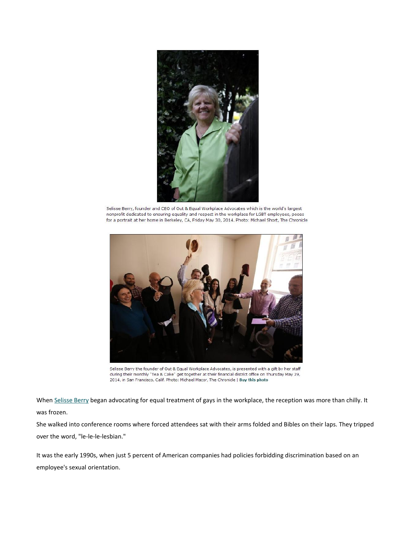

Selisse Berry, founder and CEO of Out & Equal Workplace Advocates which is the world's largest nonprofit dedicated to ensuring equality and respect in the workplace for LGBT employees, poses for a portrait at her home in Berkeley, CA, Friday May 30, 2014. Photo: Michael Short, The Chronicle



Selisse Berry the founder of Out & Equal Workplace Advocates, is presented with a gift by her staff during their monthly "Tea & Cake" get together at their financial district office on Thursday May 29, 2014, in San Francisco, Calif. Photo: Michael Macor, The Chronicle | Buy this photo

When [Selisse Berry](http://www.sfgate.com/?controllerName=search&action=search&channel=lgbt&search=1&inlineLink=1&query=%22Selisse+Berry%22) began advocating for equal treatment of gays in the workplace, the reception was more than chilly. It was frozen.

She walked into conference rooms where forced attendees sat with their arms folded and Bibles on their laps. They tripped over the word, "le-le-le-lesbian."

It was the early 1990s, when just 5 percent of American companies had policies forbidding discrimination based on an employee's sexual orientation.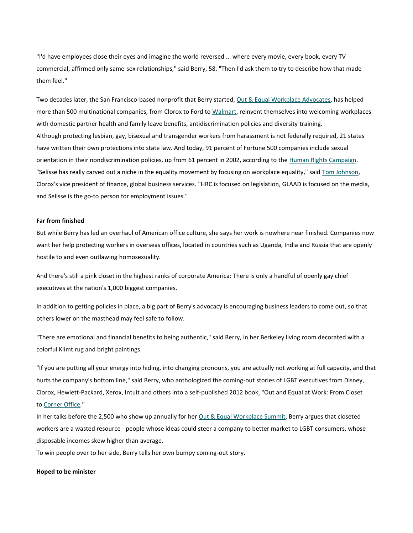"I'd have employees close their eyes and imagine the world reversed ... where every movie, every book, every TV commercial, affirmed only same-sex relationships," said Berry, 58. "Then I'd ask them to try to describe how that made them feel."

Two decades later, the San Francisco-based nonprofit that Berry started, [Out & Equal Workplace Advocates,](http://www.sfgate.com/?controllerName=search&action=search&channel=lgbt&search=1&inlineLink=1&query=%22Out+%26+Equal+Workplace+Advocates%22) has helped more than 500 multinational companies, from Clorox to Ford to [Walmart,](http://www.sfgate.com/?controllerName=search&action=search&channel=lgbt&search=1&inlineLink=1&query=%22Walmart%22) reinvent themselves into welcoming workplaces with domestic partner health and family leave benefits, antidiscrimination policies and diversity training. Although protecting lesbian, gay, bisexual and transgender workers from harassment is not federally required, 21 states have written their own protections into state law. And today, 91 percent of Fortune 500 companies include sexual orientation in their nondiscrimination policies, up from 61 percent in 2002, according to the [Human Rights Campaign.](http://www.sfgate.com/?controllerName=search&action=search&channel=lgbt&search=1&inlineLink=1&query=%22Human+Rights+Campaign%22) "Selisse has really carved out a niche in the equality movement by focusing on workplace equality," said [Tom Johnson,](http://www.sfgate.com/?controllerName=search&action=search&channel=lgbt&search=1&inlineLink=1&query=%22Tom+Johnson%22) Clorox's vice president of finance, global business services. "HRC is focused on legislation, GLAAD is focused on the media, and Selisse is the go-to person for employment issues."

## **Far from finished**

But while Berry has led an overhaul of American office culture, she says her work is nowhere near finished. Companies now want her help protecting workers in overseas offices, located in countries such as Uganda, India and Russia that are openly hostile to and even outlawing homosexuality.

And there's still a pink closet in the highest ranks of corporate America: There is only a handful of openly gay chief executives at the nation's 1,000 biggest companies.

In addition to getting policies in place, a big part of Berry's advocacy is encouraging business leaders to come out, so that others lower on the masthead may feel safe to follow.

"There are emotional and financial benefits to being authentic," said Berry, in her Berkeley living room decorated with a colorful Klimt rug and bright paintings.

"If you are putting all your energy into hiding, into changing pronouns, you are actually not working at full capacity, and that hurts the company's bottom line," said Berry, who anthologized the coming-out stories of LGBT executives from Disney, Clorox, Hewlett-Packard, Xerox, Intuit and others into a self-published 2012 book, "Out and Equal at Work: From Closet to [Corner Office.](http://www.sfgate.com/?controllerName=search&action=search&channel=lgbt&search=1&inlineLink=1&query=%22Corner+Office%22)"

In her talks before the 2,500 who show up annually for her [Out & Equal Workplace Summit,](http://www.sfgate.com/?controllerName=search&action=search&channel=lgbt&search=1&inlineLink=1&query=%22Out+%26+Equal+Workplace+Summit%22) Berry argues that closeted workers are a wasted resource - people whose ideas could steer a company to better market to LGBT consumers, whose disposable incomes skew higher than average.

To win people over to her side, Berry tells her own bumpy coming-out story.

## **Hoped to be minister**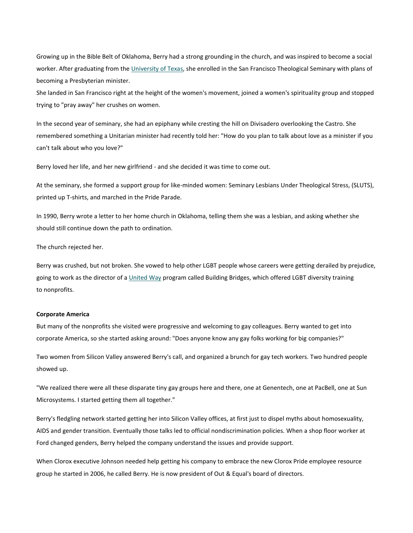Growing up in the Bible Belt of Oklahoma, Berry had a strong grounding in the church, and was inspired to become a social worker. After graduating from the [University of Texas,](http://www.sfgate.com/?controllerName=search&action=search&channel=lgbt&search=1&inlineLink=1&query=%22University+of+Texas%22) she enrolled in the San Francisco Theological Seminary with plans of becoming a Presbyterian minister.

She landed in San Francisco right at the height of the women's movement, joined a women's spirituality group and stopped trying to "pray away" her crushes on women.

In the second year of seminary, she had an epiphany while cresting the hill on Divisadero overlooking the Castro. She remembered something a Unitarian minister had recently told her: "How do you plan to talk about love as a minister if you can't talk about who you love?"

Berry loved her life, and her new girlfriend - and she decided it was time to come out.

At the seminary, she formed a support group for like-minded women: Seminary Lesbians Under Theological Stress, (SLUTS), printed up T-shirts, and marched in the Pride Parade.

In 1990, Berry wrote a letter to her home church in Oklahoma, telling them she was a lesbian, and asking whether she should still continue down the path to ordination.

The church rejected her.

Berry was crushed, but not broken. She vowed to help other LGBT people whose careers were getting derailed by prejudice, going to work as the director of a [United](http://www.sfgate.com/?controllerName=search&action=search&channel=lgbt&search=1&inlineLink=1&query=%22United+Way%22) Way program called Building Bridges, which offered LGBT diversity training to nonprofits.

## **Corporate America**

But many of the nonprofits she visited were progressive and welcoming to gay colleagues. Berry wanted to get into corporate America, so she started asking around: "Does anyone know any gay folks working for big companies?"

Two women from Silicon Valley answered Berry's call, and organized a brunch for gay tech workers. Two hundred people showed up.

"We realized there were all these disparate tiny gay groups here and there, one at Genentech, one at PacBell, one at Sun Microsystems. I started getting them all together."

Berry's fledgling network started getting her into Silicon Valley offices, at first just to dispel myths about homosexuality, AIDS and gender transition. Eventually those talks led to official nondiscrimination policies. When a shop floor worker at Ford changed genders, Berry helped the company understand the issues and provide support.

When Clorox executive Johnson needed help getting his company to embrace the new Clorox Pride employee resource group he started in 2006, he called Berry. He is now president of Out & Equal's board of directors.